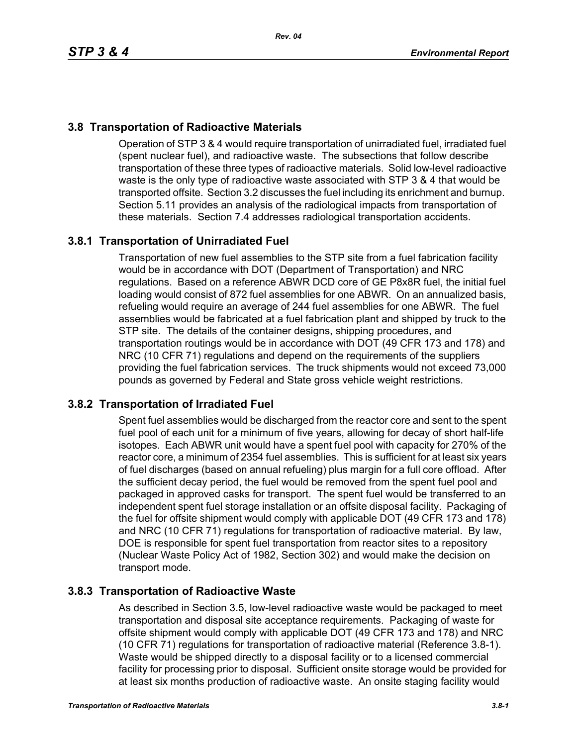# **3.8 Transportation of Radioactive Materials**

Operation of STP 3 & 4 would require transportation of unirradiated fuel, irradiated fuel (spent nuclear fuel), and radioactive waste. The subsections that follow describe transportation of these three types of radioactive materials. Solid low-level radioactive waste is the only type of radioactive waste associated with STP 3 & 4 that would be transported offsite. Section 3.2 discusses the fuel including its enrichment and burnup. Section 5.11 provides an analysis of the radiological impacts from transportation of these materials. Section 7.4 addresses radiological transportation accidents.

# **3.8.1 Transportation of Unirradiated Fuel**

Transportation of new fuel assemblies to the STP site from a fuel fabrication facility would be in accordance with DOT (Department of Transportation) and NRC regulations. Based on a reference ABWR DCD core of GE P8x8R fuel, the initial fuel loading would consist of 872 fuel assemblies for one ABWR. On an annualized basis, refueling would require an average of 244 fuel assemblies for one ABWR. The fuel assemblies would be fabricated at a fuel fabrication plant and shipped by truck to the STP site. The details of the container designs, shipping procedures, and transportation routings would be in accordance with DOT (49 CFR 173 and 178) and NRC (10 CFR 71) regulations and depend on the requirements of the suppliers providing the fuel fabrication services. The truck shipments would not exceed 73,000 pounds as governed by Federal and State gross vehicle weight restrictions.

## **3.8.2 Transportation of Irradiated Fuel**

Spent fuel assemblies would be discharged from the reactor core and sent to the spent fuel pool of each unit for a minimum of five years, allowing for decay of short half-life isotopes. Each ABWR unit would have a spent fuel pool with capacity for 270% of the reactor core, a minimum of 2354 fuel assemblies. This is sufficient for at least six years of fuel discharges (based on annual refueling) plus margin for a full core offload. After the sufficient decay period, the fuel would be removed from the spent fuel pool and packaged in approved casks for transport. The spent fuel would be transferred to an independent spent fuel storage installation or an offsite disposal facility. Packaging of the fuel for offsite shipment would comply with applicable DOT (49 CFR 173 and 178) and NRC (10 CFR 71) regulations for transportation of radioactive material. By law, DOE is responsible for spent fuel transportation from reactor sites to a repository (Nuclear Waste Policy Act of 1982, Section 302) and would make the decision on transport mode.

## **3.8.3 Transportation of Radioactive Waste**

As described in Section 3.5, low-level radioactive waste would be packaged to meet transportation and disposal site acceptance requirements. Packaging of waste for offsite shipment would comply with applicable DOT (49 CFR 173 and 178) and NRC (10 CFR 71) regulations for transportation of radioactive material (Reference 3.8-1). Waste would be shipped directly to a disposal facility or to a licensed commercial facility for processing prior to disposal. Sufficient onsite storage would be provided for at least six months production of radioactive waste. An onsite staging facility would